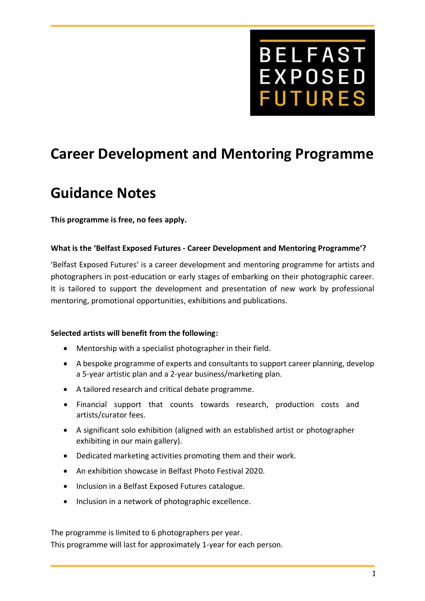

# **Career Development and Mentoring Programme**

# **Guidance Notes**

**This programme is free, no fees apply.**

#### **What is the 'Belfast Exposed Futures - Career Development and Mentoring Programme'?**

'Belfast Exposed Futures' is a career development and mentoring programme for artists and photographers in post-education or early stages of embarking on their photographic career. It is tailored to support the development and presentation of new work by professional mentoring, promotional opportunities, exhibitions and publications.

#### **Selected artists will benefit from the following:**

- Mentorship with a specialist photographer in their field.
- A bespoke programme of experts and consultants to support career planning, develop a 5-year artistic plan and a 2-year business/marketing plan.
- A tailored research and critical debate programme.
- Financial support that counts towards research, production costs and artists/curator fees.
- A significant solo exhibition (aligned with an established artist or photographer exhibiting in our main gallery).
- Dedicated marketing activities promoting them and their work.
- An exhibition showcase in Belfast Photo Festival 2020.
- Inclusion in a Belfast Exposed Futures catalogue.
- Inclusion in a network of photographic excellence.

The programme is limited to 6 photographers per year. This programme will last for approximately 1-year for each person.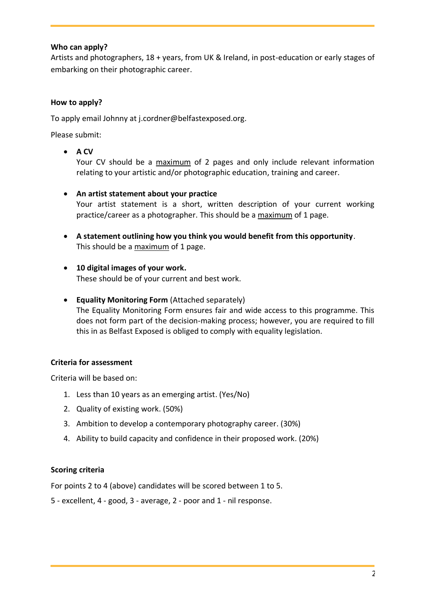## **Who can apply?**

Artists and photographers, 18 + years, from UK & Ireland, in post-education or early stages of embarking on their photographic career.

### **How to apply?**

To apply email Johnny at j.cordner@belfastexposed.org.

Please submit:

• **A CV**

Your CV should be a maximum of 2 pages and only include relevant information relating to your artistic and/or photographic education, training and career.

• **An artist statement about your practice**

Your artist statement is a short, written description of your current working practice/career as a photographer. This should be a maximum of 1 page.

- **A statement outlining how you think you would benefit from this opportunity**. This should be a maximum of 1 page.
- **10 digital images of your work.** These should be of your current and best work.
- **Equality Monitoring Form** (Attached separately) The Equality Monitoring Form ensures fair and wide access to this programme. This does not form part of the decision-making process; however, you are required to fill this in as Belfast Exposed is obliged to comply with equality legislation.

## **Criteria for assessment**

Criteria will be based on:

- 1. Less than 10 years as an emerging artist. (Yes/No)
- 2. Quality of existing work. (50%)
- 3. Ambition to develop a contemporary photography career. (30%)
- 4. Ability to build capacity and confidence in their proposed work. (20%)

#### **Scoring criteria**

For points 2 to 4 (above) candidates will be scored between 1 to 5.

5 - excellent, 4 - good, 3 - average, 2 - poor and 1 - nil response.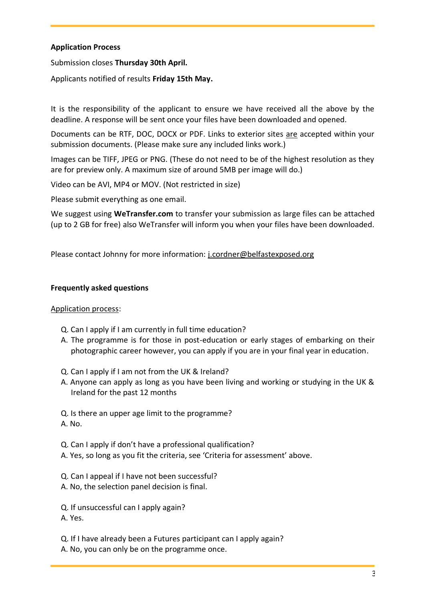### **Application Process**

Submission closes **Thursday 30th April.**

Applicants notified of results **Friday 15th May.**

It is the responsibility of the applicant to ensure we have received all the above by the deadline. A response will be sent once your files have been downloaded and opened.

Documents can be RTF, DOC, DOCX or PDF. Links to exterior sites are accepted within your submission documents. (Please make sure any included links work.)

Images can be TIFF, JPEG or PNG. (These do not need to be of the highest resolution as they are for preview only. A maximum size of around 5MB per image will do.)

Video can be AVI, MP4 or MOV. (Not restricted in size)

Please submit everything as one email.

We suggest using **WeTransfer.com** to transfer your submission as large files can be attached (up to 2 GB for free) also WeTransfer will inform you when your files have been downloaded.

Please contact Johnny for more information: [j.cordner@belfastexposed.org](mailto:j.cordner@belfastexposed.org)

#### **Frequently asked questions**

#### Application process:

- Q. Can I apply if I am currently in full time education?
- A. The programme is for those in post-education or early stages of embarking on their photographic career however, you can apply if you are in your final year in education.
- Q. Can I apply if I am not from the UK & Ireland?
- A. Anyone can apply as long as you have been living and working or studying in the UK & Ireland for the past 12 months

Q. Is there an upper age limit to the programme? A. No.

- Q. Can I apply if don't have a professional qualification?
- A. Yes, so long as you fit the criteria, see 'Criteria for assessment' above.
- Q. Can I appeal if I have not been successful?
- A. No, the selection panel decision is final.

Q. If unsuccessful can I apply again? A. Yes.

- Q. If I have already been a Futures participant can I apply again?
- A. No, you can only be on the programme once.